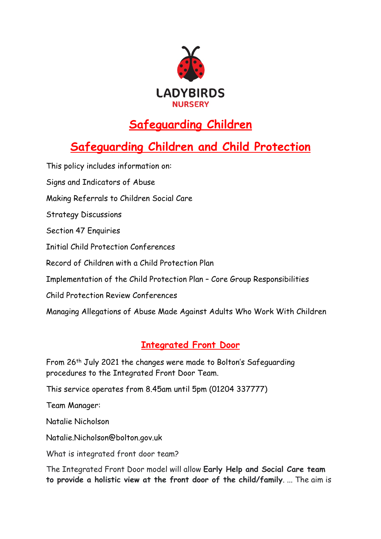

# **Safeguarding Children**

# **Safeguarding Children and Child Protection**

This policy includes information on: Signs and Indicators of Abuse Making Referrals to Children Social Care Strategy Discussions Section 47 Enquiries Initial Child Protection Conferences Record of Children with a Child Protection Plan Implementation of the Child Protection Plan – Core Group Responsibilities Child Protection Review Conferences Managing Allegations of Abuse Made Against Adults Who Work With Children

# **Integrated Front Door**

From 26th July 2021 the changes were made to Bolton's Safeguarding procedures to the Integrated Front Door Team.

This service operates from 8.45am until 5pm (01204 337777)

Team Manager:

Natalie Nicholson

Natalie.Nicholson@bolton.gov.uk

What is integrated front door team?

The Integrated Front Door model will allow **Early Help and Social Care team to provide a holistic view at the front door of the child/family**. ... The aim is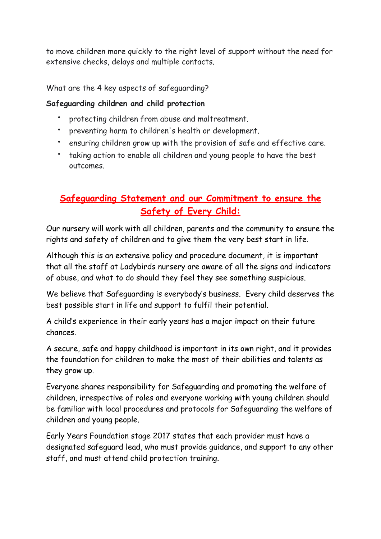to move children more quickly to the right level of support without the need for extensive checks, delays and multiple contacts.

What are the 4 key aspects of safeguarding?

#### **Safeguarding children and child protection**

- protecting children from abuse and maltreatment.
- preventing harm to children's health or development.
- ensuring children grow up with the provision of safe and effective care.
- taking action to enable all children and young people to have the best outcomes.

# **Safeguarding Statement and our Commitment to ensure the Safety of Every Child:**

Our nursery will work with all children, parents and the community to ensure the rights and safety of children and to give them the very best start in life.

Although this is an extensive policy and procedure document, it is important that all the staff at Ladybirds nursery are aware of all the signs and indicators of abuse, and what to do should they feel they see something suspicious.

We believe that Safeguarding is everybody's business. Every child deserves the best possible start in life and support to fulfil their potential.

A child's experience in their early years has a major impact on their future chances.

A secure, safe and happy childhood is important in its own right, and it provides the foundation for children to make the most of their abilities and talents as they grow up.

Everyone shares responsibility for Safeguarding and promoting the welfare of children, irrespective of roles and everyone working with young children should be familiar with local procedures and protocols for Safeguarding the welfare of children and young people.

Early Years Foundation stage 2017 states that each provider must have a designated safeguard lead, who must provide guidance, and support to any other staff, and must attend child protection training.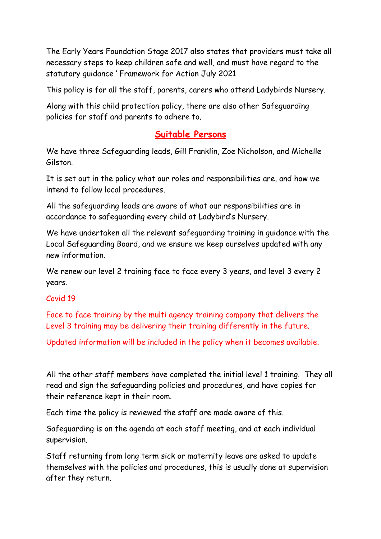The Early Years Foundation Stage 2017 also states that providers must take all necessary steps to keep children safe and well, and must have regard to the statutory guidance ' Framework for Action July 2021

This policy is for all the staff, parents, carers who attend Ladybirds Nursery.

Along with this child protection policy, there are also other Safeguarding policies for staff and parents to adhere to.

# **Suitable Persons**

We have three Safeguarding leads, Gill Franklin, Zoe Nicholson, and Michelle Gilston.

It is set out in the policy what our roles and responsibilities are, and how we intend to follow local procedures.

All the safeguarding leads are aware of what our responsibilities are in accordance to safeguarding every child at Ladybird's Nursery.

We have undertaken all the relevant safeguarding training in guidance with the Local Safeguarding Board, and we ensure we keep ourselves updated with any new information.

We renew our level 2 training face to face every 3 years, and level 3 every 2 years.

#### Covid 19

Face to face training by the multi agency training company that delivers the Level 3 training may be delivering their training differently in the future.

Updated information will be included in the policy when it becomes available.

All the other staff members have completed the initial level 1 training. They all read and sign the safeguarding policies and procedures, and have copies for their reference kept in their room.

Each time the policy is reviewed the staff are made aware of this.

Safeguarding is on the agenda at each staff meeting, and at each individual supervision.

Staff returning from long term sick or maternity leave are asked to update themselves with the policies and procedures, this is usually done at supervision after they return.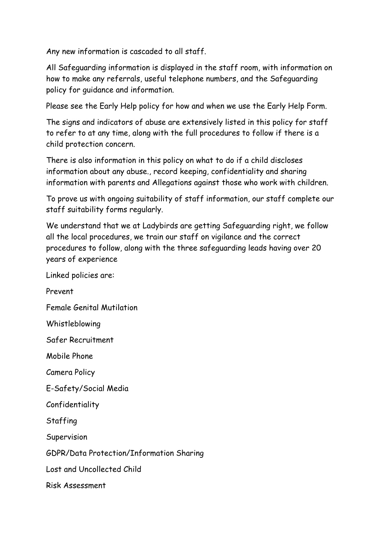Any new information is cascaded to all staff.

All Safeguarding information is displayed in the staff room, with information on how to make any referrals, useful telephone numbers, and the Safeguarding policy for guidance and information.

Please see the Early Help policy for how and when we use the Early Help Form.

The signs and indicators of abuse are extensively listed in this policy for staff to refer to at any time, along with the full procedures to follow if there is a child protection concern.

There is also information in this policy on what to do if a child discloses information about any abuse., record keeping, confidentiality and sharing information with parents and Allegations against those who work with children.

To prove us with ongoing suitability of staff information, our staff complete our staff suitability forms regularly.

We understand that we at Ladybirds are getting Safeguarding right, we follow all the local procedures, we train our staff on vigilance and the correct procedures to follow, along with the three safeguarding leads having over 20 years of experience

Linked policies are:

Prevent

Female Genital Mutilation

Whistleblowing

Safer Recruitment

Mobile Phone

Camera Policy

E-Safety/Social Media

Confidentiality

**Staffing** 

Supervision

GDPR/Data Protection/Information Sharing

Lost and Uncollected Child

Risk Assessment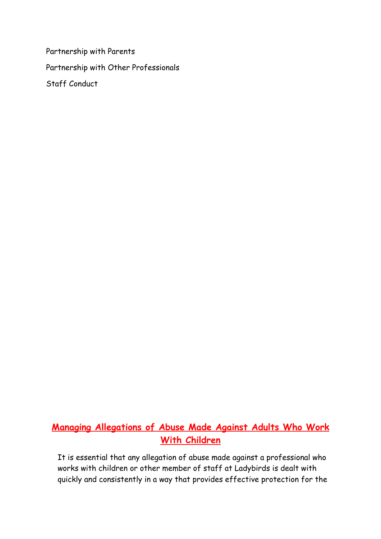Partnership with Parents Partnership with Other Professionals Staff Conduct

# **Managing Allegations of Abuse Made Against Adults Who Work With Children**

It is essential that any allegation of abuse made against a professional who works with children or other member of staff at Ladybirds is dealt with quickly and consistently in a way that provides effective protection for the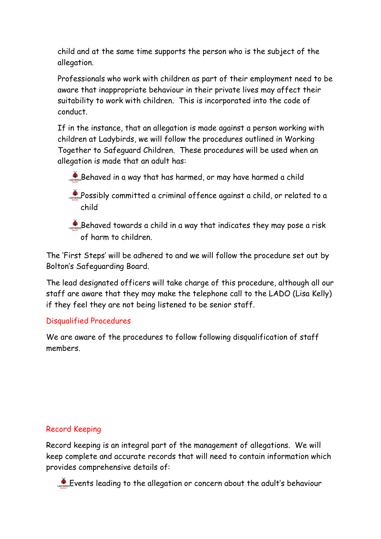child and at the same time supports the person who is the subject of the allegation.

Professionals who work with children as part of their employment need to be aware that inappropriate behaviour in their private lives may affect their suitability to work with children. This is incorporated into the code of conduct.

If in the instance, that an allegation is made against a person working with children at Ladybirds, we will follow the procedures outlined in Working Together to Safeguard Children. These procedures will be used when an allegation is made that an adult has:

- **Behaved in a way that has harmed, or may have harmed a child**
- Possibly committed a criminal offence against a child, or related to a child
- Behaved towards a child in a way that indicates they may pose a risk of harm to children.

The 'First Steps' will be adhered to and we will follow the procedure set out by Bolton's Safeguarding Board.

The lead designated officers will take charge of this procedure, although all our staff are aware that they may make the telephone call to the LADO (Lisa Kelly) if they feel they are not being listened to be senior staff.

#### Disqualified Procedures

We are aware of the procedures to follow following disqualification of staff members.

### Record Keeping

Record keeping is an integral part of the management of allegations. We will keep complete and accurate records that will need to contain information which provides comprehensive details of:

Events leading to the allegation or concern about the adult's behaviour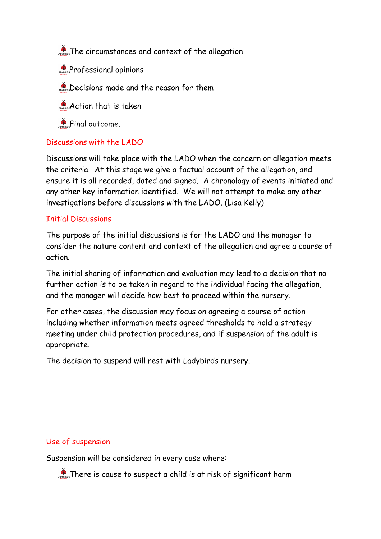**Parafacter The circumstances and context of the allegation** 

**Professional opinions** 

Decisions made and the reason for them

 $\bigcirc$  Action that is taken

**Solution Final outcome.** 

#### Discussions with the LADO

Discussions will take place with the LADO when the concern or allegation meets the criteria. At this stage we give a factual account of the allegation, and ensure it is all recorded, dated and signed. A chronology of events initiated and any other key information identified. We will not attempt to make any other investigations before discussions with the LADO. (Lisa Kelly)

#### Initial Discussions

The purpose of the initial discussions is for the LADO and the manager to consider the nature content and context of the allegation and agree a course of action.

The initial sharing of information and evaluation may lead to a decision that no further action is to be taken in regard to the individual facing the allegation, and the manager will decide how best to proceed within the nursery.

For other cases, the discussion may focus on agreeing a course of action including whether information meets agreed thresholds to hold a strategy meeting under child protection procedures, and if suspension of the adult is appropriate.

The decision to suspend will rest with Ladybirds nursery.

#### Use of suspension

Suspension will be considered in every case where:

There is cause to suspect a child is at risk of significant harm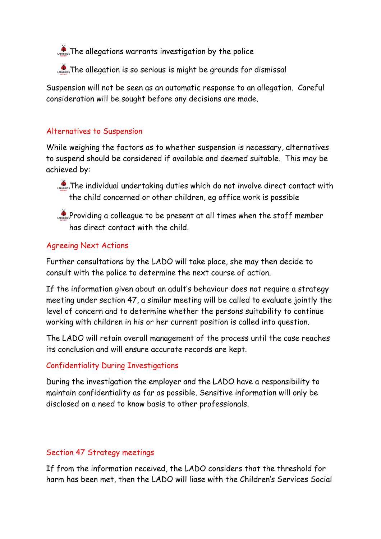The allegations warrants investigation by the police

**The allegation is so serious is might be grounds for dismissal** 

Suspension will not be seen as an automatic response to an allegation. Careful consideration will be sought before any decisions are made.

#### Alternatives to Suspension

While weighing the factors as to whether suspension is necessary, alternatives to suspend should be considered if available and deemed suitable. This may be achieved by:

- The individual undertaking duties which do not involve direct contact with the child concerned or other children, eg office work is possible
- **Providing a colleague to be present at all times when the staff member** has direct contact with the child.

#### Agreeing Next Actions

Further consultations by the LADO will take place, she may then decide to consult with the police to determine the next course of action.

If the information given about an adult's behaviour does not require a strategy meeting under section 47, a similar meeting will be called to evaluate jointly the level of concern and to determine whether the persons suitability to continue working with children in his or her current position is called into question.

The LADO will retain overall management of the process until the case reaches its conclusion and will ensure accurate records are kept.

### Confidentiality During Investigations

During the investigation the employer and the LADO have a responsibility to maintain confidentiality as far as possible. Sensitive information will only be disclosed on a need to know basis to other professionals.

#### Section 47 Strategy meetings

If from the information received, the LADO considers that the threshold for harm has been met, then the LADO will liase with the Children's Services Social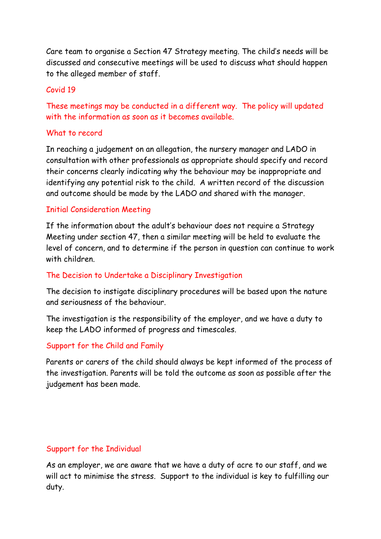Care team to organise a Section 47 Strategy meeting. The child's needs will be discussed and consecutive meetings will be used to discuss what should happen to the alleged member of staff.

#### Covid 19

These meetings may be conducted in a different way. The policy will updated with the information as soon as it becomes available.

#### What to record

In reaching a judgement on an allegation, the nursery manager and LADO in consultation with other professionals as appropriate should specify and record their concerns clearly indicating why the behaviour may be inappropriate and identifying any potential risk to the child. A written record of the discussion and outcome should be made by the LADO and shared with the manager.

#### Initial Consideration Meeting

If the information about the adult's behaviour does not require a Strategy Meeting under section 47, then a similar meeting will be held to evaluate the level of concern, and to determine if the person in question can continue to work with children.

#### The Decision to Undertake a Disciplinary Investigation

The decision to instigate disciplinary procedures will be based upon the nature and seriousness of the behaviour.

The investigation is the responsibility of the employer, and we have a duty to keep the LADO informed of progress and timescales.

#### Support for the Child and Family

Parents or carers of the child should always be kept informed of the process of the investigation. Parents will be told the outcome as soon as possible after the judgement has been made.

#### Support for the Individual

As an employer, we are aware that we have a duty of acre to our staff, and we will act to minimise the stress. Support to the individual is key to fulfilling our duty.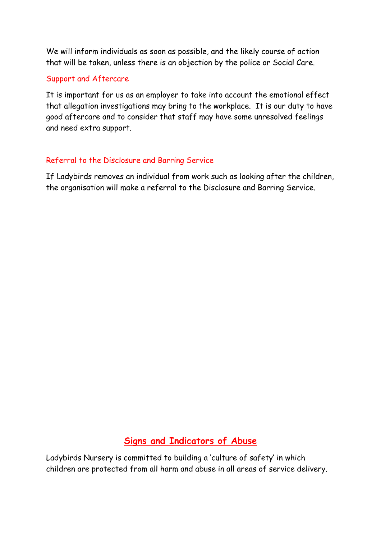We will inform individuals as soon as possible, and the likely course of action that will be taken, unless there is an objection by the police or Social Care.

#### Support and Aftercare

It is important for us as an employer to take into account the emotional effect that allegation investigations may bring to the workplace. It is our duty to have good aftercare and to consider that staff may have some unresolved feelings and need extra support.

#### Referral to the Disclosure and Barring Service

If Ladybirds removes an individual from work such as looking after the children, the organisation will make a referral to the Disclosure and Barring Service.

# **Signs and Indicators of Abuse**

Ladybirds Nursery is committed to building a 'culture of safety' in which children are protected from all harm and abuse in all areas of service delivery.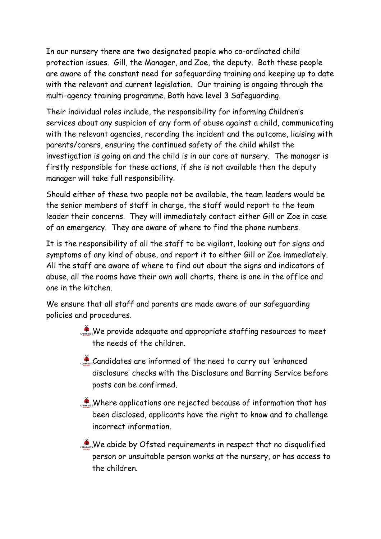In our nursery there are two designated people who co-ordinated child protection issues. Gill, the Manager, and Zoe, the deputy. Both these people are aware of the constant need for safeguarding training and keeping up to date with the relevant and current legislation. Our training is ongoing through the multi-agency training programme. Both have level 3 Safeguarding.

Their individual roles include, the responsibility for informing Children's services about any suspicion of any form of abuse against a child, communicating with the relevant agencies, recording the incident and the outcome, liaising with parents/carers, ensuring the continued safety of the child whilst the investigation is going on and the child is in our care at nursery. The manager is firstly responsible for these actions, if she is not available then the deputy manager will take full responsibility.

Should either of these two people not be available, the team leaders would be the senior members of staff in charge, the staff would report to the team leader their concerns. They will immediately contact either Gill or Zoe in case of an emergency. They are aware of where to find the phone numbers.

It is the responsibility of all the staff to be vigilant, looking out for signs and symptoms of any kind of abuse, and report it to either Gill or Zoe immediately. All the staff are aware of where to find out about the signs and indicators of abuse, all the rooms have their own wall charts, there is one in the office and one in the kitchen.

We ensure that all staff and parents are made aware of our safeguarding policies and procedures.

- $\frac{1}{\sqrt{2}}$  We provide adequate and appropriate staffing resources to meet the needs of the children.
- Candidates are informed of the need to carry out 'enhanced disclosure' checks with the Disclosure and Barring Service before posts can be confirmed.
- Where applications are rejected because of information that has been disclosed, applicants have the right to know and to challenge incorrect information.
- We abide by Ofsted requirements in respect that no disqualified person or unsuitable person works at the nursery, or has access to the children.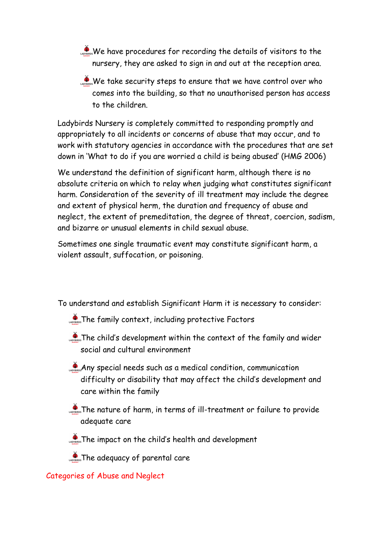We have procedures for recording the details of visitors to the nursery, they are asked to sign in and out at the reception area.

We take security steps to ensure that we have control over who comes into the building, so that no unauthorised person has access to the children.

Ladybirds Nursery is completely committed to responding promptly and appropriately to all incidents or concerns of abuse that may occur, and to work with statutory agencies in accordance with the procedures that are set down in 'What to do if you are worried a child is being abused' (HMG 2006)

We understand the definition of significant harm, although there is no absolute criteria on which to relay when judging what constitutes significant harm. Consideration of the severity of ill treatment may include the degree and extent of physical herm, the duration and frequency of abuse and neglect, the extent of premeditation, the degree of threat, coercion, sadism, and bizarre or unusual elements in child sexual abuse.

Sometimes one single traumatic event may constitute significant harm, a violent assault, suffocation, or poisoning.

To understand and establish Significant Harm it is necessary to consider:

- **CONSISTER FAMILY CONTEXT, including protective Factors**
- $\sum_{n=1}^{\infty}$  The child's development within the context of the family and wider social and cultural environment
- Any special needs such as a medical condition, communication difficulty or disability that may affect the child's development and care within the family
- The nature of harm, in terms of ill-treatment or failure to provide adequate care
- $\sum_{n=1}^{\infty}$  The impact on the child's health and development
- **The adequacy of parental care**

#### Categories of Abuse and Neglect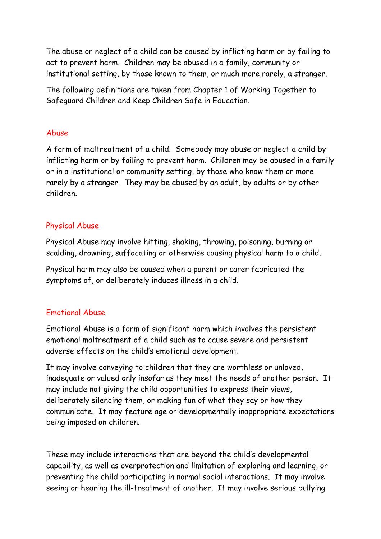The abuse or neglect of a child can be caused by inflicting harm or by failing to act to prevent harm. Children may be abused in a family, community or institutional setting, by those known to them, or much more rarely, a stranger.

The following definitions are taken from Chapter 1 of Working Together to Safeguard Children and Keep Children Safe in Education.

#### Abuse

A form of maltreatment of a child. Somebody may abuse or neglect a child by inflicting harm or by failing to prevent harm. Children may be abused in a family or in a institutional or community setting, by those who know them or more rarely by a stranger. They may be abused by an adult, by adults or by other children.

#### Physical Abuse

Physical Abuse may involve hitting, shaking, throwing, poisoning, burning or scalding, drowning, suffocating or otherwise causing physical harm to a child.

Physical harm may also be caused when a parent or carer fabricated the symptoms of, or deliberately induces illness in a child.

#### Emotional Abuse

Emotional Abuse is a form of significant harm which involves the persistent emotional maltreatment of a child such as to cause severe and persistent adverse effects on the child's emotional development.

It may involve conveying to children that they are worthless or unloved, inadequate or valued only insofar as they meet the needs of another person. It may include not giving the child opportunities to express their views, deliberately silencing them, or making fun of what they say or how they communicate. It may feature age or developmentally inappropriate expectations being imposed on children.

These may include interactions that are beyond the child's developmental capability, as well as overprotection and limitation of exploring and learning, or preventing the child participating in normal social interactions. It may involve seeing or hearing the ill-treatment of another. It may involve serious bullying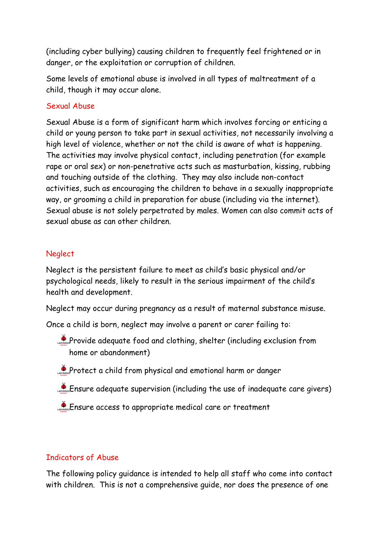(including cyber bullying) causing children to frequently feel frightened or in danger, or the exploitation or corruption of children.

Some levels of emotional abuse is involved in all types of maltreatment of a child, though it may occur alone.

#### Sexual Abuse

Sexual Abuse is a form of significant harm which involves forcing or enticing a child or young person to take part in sexual activities, not necessarily involving a high level of violence, whether or not the child is aware of what is happening. The activities may involve physical contact, including penetration (for example rape or oral sex) or non-penetrative acts such as masturbation, kissing, rubbing and touching outside of the clothing. They may also include non-contact activities, such as encouraging the children to behave in a sexually inappropriate way, or grooming a child in preparation for abuse (including via the internet). Sexual abuse is not solely perpetrated by males. Women can also commit acts of sexual abuse as can other children.

#### Neglect

Neglect is the persistent failure to meet as child's basic physical and/or psychological needs, likely to result in the serious impairment of the child's health and development.

Neglect may occur during pregnancy as a result of maternal substance misuse.

Once a child is born, neglect may involve a parent or carer failing to:

- Provide adequate food and clothing, shelter (including exclusion from home or abandonment)
- **Protect a child from physical and emotional harm or danger**
- **Ensure adequate supervision (including the use of inadequate care givers)**
- Ensure access to appropriate medical care or treatment

#### Indicators of Abuse

The following policy guidance is intended to help all staff who come into contact with children. This is not a comprehensive guide, nor does the presence of one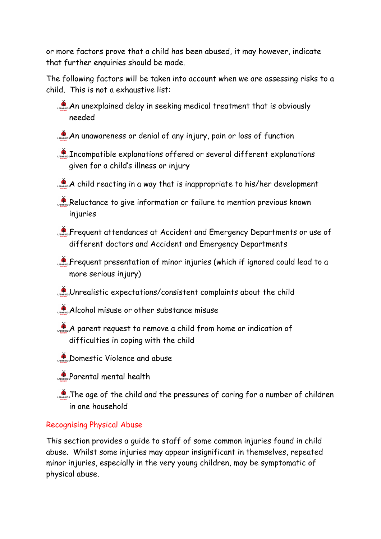or more factors prove that a child has been abused, it may however, indicate that further enquiries should be made.

The following factors will be taken into account when we are assessing risks to a child. This is not a exhaustive list:

An unexplained delay in seeking medical treatment that is obviously needed

- An unawareness or denial of any injury, pain or loss of function
- Incompatible explanations offered or several different explanations given for a child's illness or injury

 $\mathcal{A}_{\text{Lipers}}$  child reacting in a way that is inappropriate to his/her development

- Reluctance to give information or failure to mention previous known injuries
- Frequent attendances at Accident and Emergency Departments or use of different doctors and Accident and Emergency Departments
- **Particle 15 Frequent presentation of minor injuries (which if ignored could lead to a** more serious injury)
- Unrealistic expectations/consistent complaints about the child
- Alcohol misuse or other substance misuse
- A parent request to remove a child from home or indication of difficulties in coping with the child
- **Domestic Violence and abuse**
- **Parental mental health**
- The age of the child and the pressures of caring for a number of children in one household

#### Recognising Physical Abuse

This section provides a guide to staff of some common injuries found in child abuse. Whilst some injuries may appear insignificant in themselves, repeated minor injuries, especially in the very young children, may be symptomatic of physical abuse.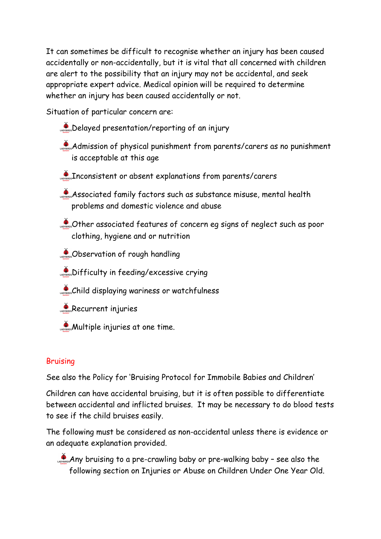It can sometimes be difficult to recognise whether an injury has been caused accidentally or non-accidentally, but it is vital that all concerned with children are alert to the possibility that an injury may not be accidental, and seek appropriate expert advice. Medical opinion will be required to determine whether an injury has been caused accidentally or not.

Situation of particular concern are:

- **Delayed presentation/reporting of an injury**
- Admission of physical punishment from parents/carers as no punishment is acceptable at this age
- **Inconsistent or absent explanations from parents/carers**
- Associated family factors such as substance misuse, mental health problems and domestic violence and abuse
- Other associated features of concern eg signs of neglect such as poor clothing, hygiene and or nutrition
- **Conservation of rough handling**
- **Difficulty in feeding/excessive crying**
- Child displaying wariness or watchfulness
- Recurrent injuries
- **Multiple injuries at one time.**

### Bruising

See also the Policy for 'Bruising Protocol for Immobile Babies and Children'

Children can have accidental bruising, but it is often possible to differentiate between accidental and inflicted bruises. It may be necessary to do blood tests to see if the child bruises easily.

The following must be considered as non-accidental unless there is evidence or an adequate explanation provided.

 $\mathcal{L}_{\text{obs}}$  Any bruising to a pre-crawling baby or pre-walking baby - see also the following section on Injuries or Abuse on Children Under One Year Old.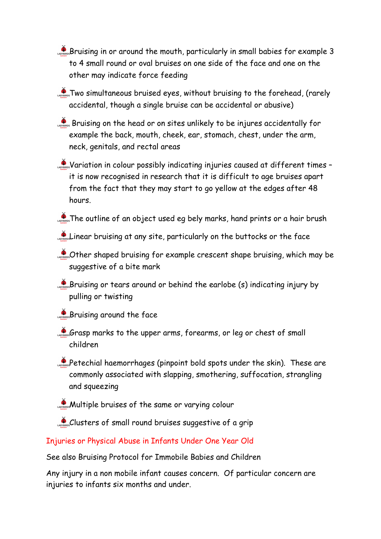**Bruising in or around the mouth, particularly in small babies for example 3** to 4 small round or oval bruises on one side of the face and one on the other may indicate force feeding

Two simultaneous bruised eyes, without bruising to the forehead, (rarely accidental, though a single bruise can be accidental or abusive)

Bruising on the head or on sites unlikely to be injures accidentally for example the back, mouth, cheek, ear, stomach, chest, under the arm, neck, genitals, and rectal areas

Wariation in colour possibly indicating injuries caused at different times it is now recognised in research that it is difficult to age bruises apart from the fact that they may start to go yellow at the edges after 48 hours.

**AD** and **The outline of an object used eg bely marks, hand prints or a hair brush** 

 $\sum_{\text{cross}}$  linear bruising at any site, particularly on the buttocks or the face

Consequences of the r shaped bruising for example crescent shape bruising, which may be suggestive of a bite mark

 $\mathcal{L}_{\text{cross}}$ Bruising or tears around or behind the earlobe (s) indicating injury by pulling or twisting

**Bruising around the face** 

Grasp marks to the upper arms, forearms, or leg or chest of small children

Petechial haemorrhages (pinpoint bold spots under the skin). These are commonly associated with slapping, smothering, suffocation, strangling and squeezing

**Multiple bruises of the same or varying colour** 

Clusters of small round bruises suggestive of a grip

Injuries or Physical Abuse in Infants Under One Year Old

See also Bruising Protocol for Immobile Babies and Children

Any injury in a non mobile infant causes concern. Of particular concern are injuries to infants six months and under.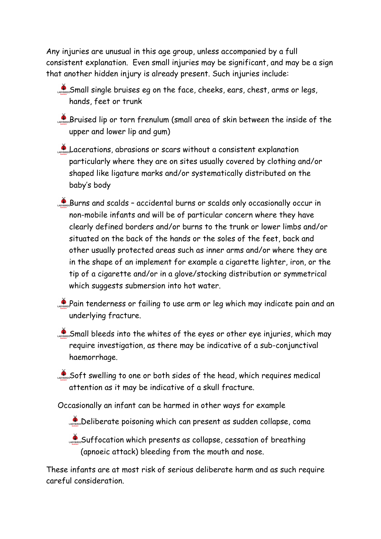Any injuries are unusual in this age group, unless accompanied by a full consistent explanation. Even small injuries may be significant, and may be a sign that another hidden injury is already present. Such injuries include:

- Small single bruises eg on the face, cheeks, ears, chest, arms or legs, hands, feet or trunk
- Bruised lip or torn frenulum (small area of skin between the inside of the upper and lower lip and gum)
- Lacerations, abrasions or scars without a consistent explanation particularly where they are on sites usually covered by clothing and/or shaped like ligature marks and/or systematically distributed on the baby's body
- Burns and scalds accidental burns or scalds only occasionally occur in non-mobile infants and will be of particular concern where they have clearly defined borders and/or burns to the trunk or lower limbs and/or situated on the back of the hands or the soles of the feet, back and other usually protected areas such as inner arms and/or where they are in the shape of an implement for example a cigarette lighter, iron, or the tip of a cigarette and/or in a glove/stocking distribution or symmetrical which suggests submersion into hot water.
- Pain tenderness or failing to use arm or leg which may indicate pain and an underlying fracture.
- Small bleeds into the whites of the eyes or other eye injuries, which may require investigation, as there may be indicative of a sub-conjunctival haemorrhage.

Soft swelling to one or both sides of the head, which requires medical attention as it may be indicative of a skull fracture.

Occasionally an infant can be harmed in other ways for example

CROSES Deliberate poisoning which can present as sudden collapse, coma

Suffocation which presents as collapse, cessation of breathing (apnoeic attack) bleeding from the mouth and nose.

These infants are at most risk of serious deliberate harm and as such require careful consideration.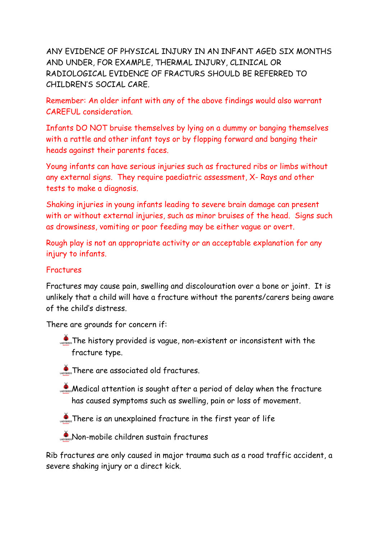ANY EVIDENCE OF PHYSICAL INJURY IN AN INFANT AGED SIX MONTHS AND UNDER, FOR EXAMPLE, THERMAL INJURY, CLINICAL OR RADIOLOGICAL EVIDENCE OF FRACTURS SHOULD BE REFERRED TO CHILDREN'S SOCIAL CARE.

Remember: An older infant with any of the above findings would also warrant CAREFUL consideration.

Infants DO NOT bruise themselves by lying on a dummy or banging themselves with a rattle and other infant toys or by flopping forward and banging their heads against their parents faces.

Young infants can have serious injuries such as fractured ribs or limbs without any external signs. They require paediatric assessment, X- Rays and other tests to make a diagnosis.

Shaking injuries in young infants leading to severe brain damage can present with or without external injuries, such as minor bruises of the head. Signs such as drowsiness, vomiting or poor feeding may be either vague or overt.

Rough play is not an appropriate activity or an acceptable explanation for any injury to infants.

#### Fractures

Fractures may cause pain, swelling and discolouration over a bone or joint. It is unlikely that a child will have a fracture without the parents/carers being aware of the child's distress.

There are grounds for concern if:

- $\mathcal{L}_{\text{cross}}$  The history provided is vague, non-existent or inconsistent with the fracture type.
- **There are associated old fractures.**
- **Medical attention is sought after a period of delay when the fracture** has caused symptoms such as swelling, pain or loss of movement.
- **There is an unexplained fracture in the first year of life**
- **Non-mobile children sustain fractures**

Rib fractures are only caused in major trauma such as a road traffic accident, a severe shaking injury or a direct kick.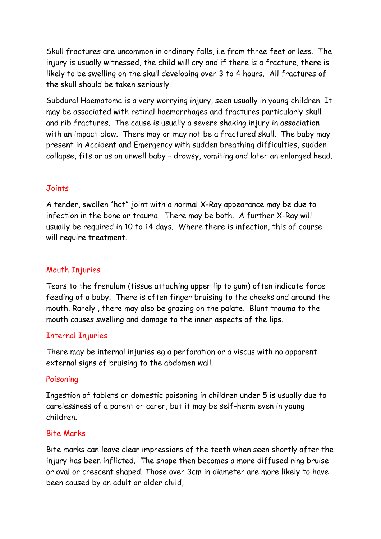Skull fractures are uncommon in ordinary falls, i.e from three feet or less. The injury is usually witnessed, the child will cry and if there is a fracture, there is likely to be swelling on the skull developing over 3 to 4 hours. All fractures of the skull should be taken seriously.

Subdural Haematoma is a very worrying injury, seen usually in young children. It may be associated with retinal haemorrhages and fractures particularly skull and rib fractures. The cause is usually a severe shaking injury in association with an impact blow. There may or may not be a fractured skull. The baby may present in Accident and Emergency with sudden breathing difficulties, sudden collapse, fits or as an unwell baby – drowsy, vomiting and later an enlarged head.

#### Joints

A tender, swollen "hot" joint with a normal X-Ray appearance may be due to infection in the bone or trauma. There may be both. A further X-Ray will usually be required in 10 to 14 days. Where there is infection, this of course will require treatment.

#### Mouth Injuries

Tears to the frenulum (tissue attaching upper lip to gum) often indicate force feeding of a baby. There is often finger bruising to the cheeks and around the mouth. Rarely , there may also be grazing on the palate. Blunt trauma to the mouth causes swelling and damage to the inner aspects of the lips.

#### Internal Injuries

There may be internal injuries eg a perforation or a viscus with no apparent external signs of bruising to the abdomen wall.

#### Poisoning

Ingestion of tablets or domestic poisoning in children under 5 is usually due to carelessness of a parent or carer, but it may be self-herm even in young children.

#### Bite Marks

Bite marks can leave clear impressions of the teeth when seen shortly after the injury has been inflicted. The shape then becomes a more diffused ring bruise or oval or crescent shaped. Those over 3cm in diameter are more likely to have been caused by an adult or older child,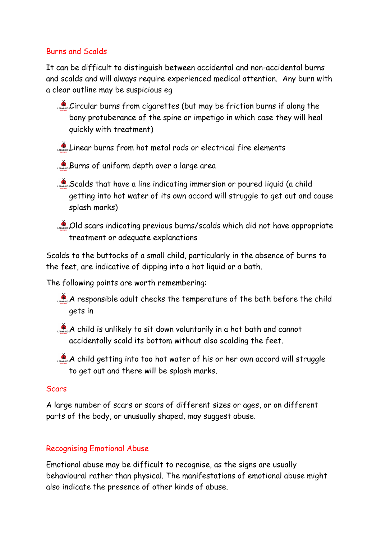#### Burns and Scalds

It can be difficult to distinguish between accidental and non-accidental burns and scalds and will always require experienced medical attention. Any burn with a clear outline may be suspicious eg

Circular burns from cigarettes (but may be friction burns if along the bony protuberance of the spine or impetigo in which case they will heal quickly with treatment)

Linear burns from hot metal rods or electrical fire elements

Burns of uniform depth over a large area

CROSO SCALD THAT have a line indicating immersion or poured liquid (a child getting into hot water of its own accord will struggle to get out and cause splash marks)

Old scars indicating previous burns/scalds which did not have appropriate treatment or adequate explanations

Scalds to the buttocks of a small child, particularly in the absence of burns to the feet, are indicative of dipping into a hot liquid or a bath.

The following points are worth remembering:

A responsible adult checks the temperature of the bath before the child gets in

A child is unlikely to sit down voluntarily in a hot bath and cannot accidentally scald its bottom without also scalding the feet.

A child getting into too hot water of his or her own accord will struggle to get out and there will be splash marks.

#### **Scars**

A large number of scars or scars of different sizes or ages, or on different parts of the body, or unusually shaped, may suggest abuse.

#### Recognising Emotional Abuse

Emotional abuse may be difficult to recognise, as the signs are usually behavioural rather than physical. The manifestations of emotional abuse might also indicate the presence of other kinds of abuse.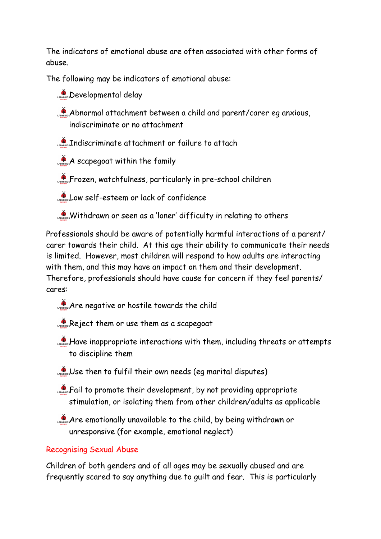The indicators of emotional abuse are often associated with other forms of abuse.

The following may be indicators of emotional abuse:

Developmental delay

Abnormal attachment between a child and parent/carer eg anxious, indiscriminate or no attachment

- **Indiscriminate attachment or failure to attach**
- $A$  scapegoat within the family

Frozen, watchfulness, particularly in pre-school children

Low self-esteem or lack of confidence

Withdrawn or seen as a 'loner' difficulty in relating to others

Professionals should be aware of potentially harmful interactions of a parent/ carer towards their child. At this age their ability to communicate their needs is limited. However, most children will respond to how adults are interacting with them, and this may have an impact on them and their development. Therefore, professionals should have cause for concern if they feel parents/ cares:

- Are negative or hostile towards the child
- Reject them or use them as a scapegoat
- $\mathcal{L}_{\text{cross}}$  Have inappropriate interactions with them, including threats or attempts to discipline them
- Use then to fulfil their own needs (eq marital disputes)
- Fail to promote their development, by not providing appropriate stimulation, or isolating them from other children/adults as applicable

Are emotionally unavailable to the child, by being withdrawn or unresponsive (for example, emotional neglect)

### Recognising Sexual Abuse

Children of both genders and of all ages may be sexually abused and are frequently scared to say anything due to guilt and fear. This is particularly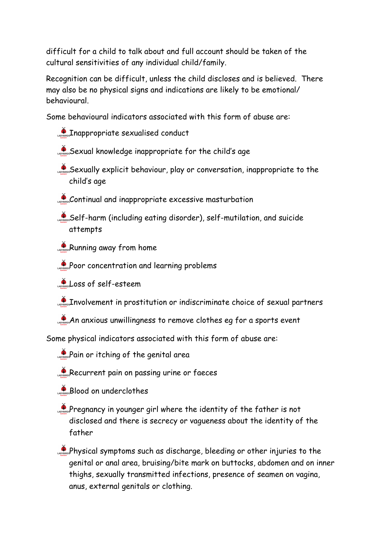difficult for a child to talk about and full account should be taken of the cultural sensitivities of any individual child/family.

Recognition can be difficult, unless the child discloses and is believed. There may also be no physical signs and indications are likely to be emotional/ behavioural.

Some behavioural indicators associated with this form of abuse are:

**CAPTERS Inappropriate sexualised conduct** 

- Sexual knowledge inappropriate for the child's age
- Sexually explicit behaviour, play or conversation, inappropriate to the child's age
- Continual and inappropriate excessive masturbation
- Self-harm (including eating disorder), self-mutilation, and suicide attempts
- Running away from home
- Poor concentration and learning problems
- **Loss of self-esteem**
- **Involvement in prostitution or indiscriminate choice of sexual partners**
- An anxious unwillingness to remove clothes eg for a sports event

Some physical indicators associated with this form of abuse are:

- **Pain or itching of the genital area**
- Recurrent pain on passing urine or faeces
- Blood on underclothes
- Pregnancy in younger girl where the identity of the father is not disclosed and there is secrecy or vagueness about the identity of the father
- Physical symptoms such as discharge, bleeding or other injuries to the genital or anal area, bruising/bite mark on buttocks, abdomen and on inner thighs, sexually transmitted infections, presence of seamen on vagina, anus, external genitals or clothing.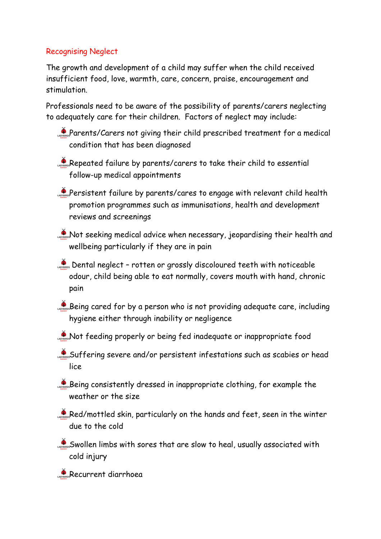### Recognising Neglect

The growth and development of a child may suffer when the child received insufficient food, love, warmth, care, concern, praise, encouragement and stimulation.

Professionals need to be aware of the possibility of parents/carers neglecting to adequately care for their children. Factors of neglect may include:

**Parents/Carers not giving their child prescribed treatment for a medical** condition that has been diagnosed

Repeated failure by parents/carers to take their child to essential follow-up medical appointments

Persistent failure by parents/cares to engage with relevant child health promotion programmes such as immunisations, health and development reviews and screenings

Not seeking medical advice when necessary, jeopardising their health and wellbeing particularly if they are in pain

 $\bullet$  Dental neglect - rotten or grossly discoloured teeth with noticeable odour, child being able to eat normally, covers mouth with hand, chronic pain

Being cared for by a person who is not providing adequate care, including hygiene either through inability or negligence

Not feeding properly or being fed inadequate or inappropriate food

Suffering severe and/or persistent infestations such as scabies or head lice

Being consistently dressed in inappropriate clothing, for example the weather or the size

Red/mottled skin, particularly on the hands and feet, seen in the winter due to the cold

Swollen limbs with sores that are slow to heal, usually associated with cold injury

Recurrent diarrhoea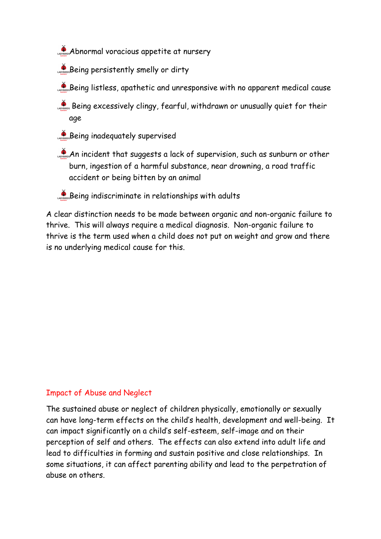**Abnormal voracious appetite at nursery** 

**Being persistently smelly or dirty** 

Being listless, apathetic and unresponsive with no apparent medical cause

Being excessively clingy, fearful, withdrawn or unusually quiet for their age

**Being inadequately supervised** 

LADRERGAN incident that suggests a lack of supervision, such as sunburn or other burn, ingestion of a harmful substance, near drowning, a road traffic accident or being bitten by an animal

Being indiscriminate in relationships with adults

A clear distinction needs to be made between organic and non-organic failure to thrive. This will always require a medical diagnosis. Non-organic failure to thrive is the term used when a child does not put on weight and grow and there is no underlying medical cause for this.

### Impact of Abuse and Neglect

The sustained abuse or neglect of children physically, emotionally or sexually can have long-term effects on the child's health, development and well-being. It can impact significantly on a child's self-esteem, self-image and on their perception of self and others. The effects can also extend into adult life and lead to difficulties in forming and sustain positive and close relationships. In some situations, it can affect parenting ability and lead to the perpetration of abuse on others.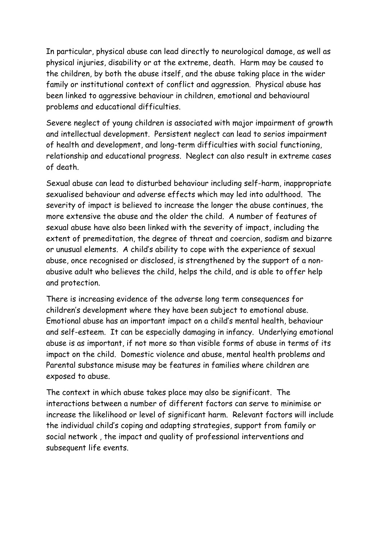In particular, physical abuse can lead directly to neurological damage, as well as physical injuries, disability or at the extreme, death. Harm may be caused to the children, by both the abuse itself, and the abuse taking place in the wider family or institutional context of conflict and aggression. Physical abuse has been linked to aggressive behaviour in children, emotional and behavioural problems and educational difficulties.

Severe neglect of young children is associated with major impairment of growth and intellectual development. Persistent neglect can lead to serios impairment of health and development, and long-term difficulties with social functioning, relationship and educational progress. Neglect can also result in extreme cases of death.

Sexual abuse can lead to disturbed behaviour including self-harm, inappropriate sexualised behaviour and adverse effects which may led into adulthood. The severity of impact is believed to increase the longer the abuse continues, the more extensive the abuse and the older the child. A number of features of sexual abuse have also been linked with the severity of impact, including the extent of premeditation, the degree of threat and coercion, sadism and bizarre or unusual elements. A child's ability to cope with the experience of sexual abuse, once recognised or disclosed, is strengthened by the support of a nonabusive adult who believes the child, helps the child, and is able to offer help and protection.

There is increasing evidence of the adverse long term consequences for children's development where they have been subject to emotional abuse. Emotional abuse has an important impact on a child's mental health, behaviour and self-esteem. It can be especially damaging in infancy. Underlying emotional abuse is as important, if not more so than visible forms of abuse in terms of its impact on the child. Domestic violence and abuse, mental health problems and Parental substance misuse may be features in families where children are exposed to abuse.

The context in which abuse takes place may also be significant. The interactions between a number of different factors can serve to minimise or increase the likelihood or level of significant harm. Relevant factors will include the individual child's coping and adapting strategies, support from family or social network , the impact and quality of professional interventions and subsequent life events.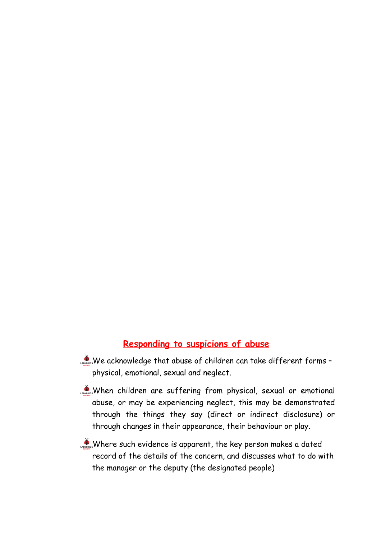### **Responding to suspicions of abuse**

- $\sum_{n=1}^{\infty}$  We acknowledge that abuse of children can take different forms physical, emotional, sexual and neglect.
- When children are suffering from physical, sexual or emotional abuse, or may be experiencing neglect, this may be demonstrated through the things they say (direct or indirect disclosure) or through changes in their appearance, their behaviour or play.
- Where such evidence is apparent, the key person makes a dated record of the details of the concern, and discusses what to do with the manager or the deputy (the designated people)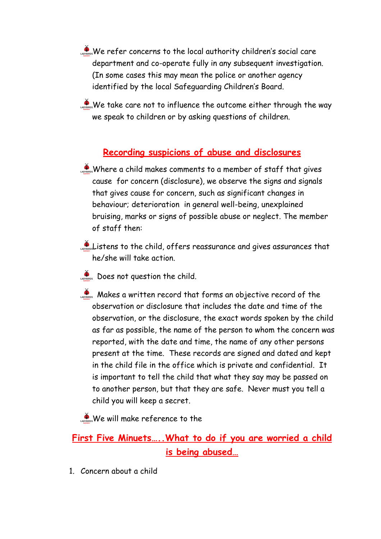- We refer concerns to the local authority children's social care department and co-operate fully in any subsequent investigation. (In some cases this may mean the police or another agency identified by the local Safeguarding Children's Board.
- We take care not to influence the outcome either through the way we speak to children or by asking questions of children.

# **Recording suspicions of abuse and disclosures**

- Where a child makes comments to a member of staff that gives cause for concern (disclosure), we observe the signs and signals that gives cause for concern, such as significant changes in behaviour; deterioration in general well-being, unexplained bruising, marks or signs of possible abuse or neglect. The member of staff then:
- Listens to the child, offers reassurance and gives assurances that he/she will take action.
- Does not question the child.
- Makes a written record that forms an objective record of the observation or disclosure that includes the date and time of the observation, or the disclosure, the exact words spoken by the child as far as possible, the name of the person to whom the concern was reported, with the date and time, the name of any other persons present at the time. These records are signed and dated and kept in the child file in the office which is private and confidential. It is important to tell the child that what they say may be passed on to another person, but that they are safe. Never must you tell a child you will keep a secret.

We will make reference to the

**First Five Minuets…..What to do if you are worried a child is being abused…**

1. Concern about a child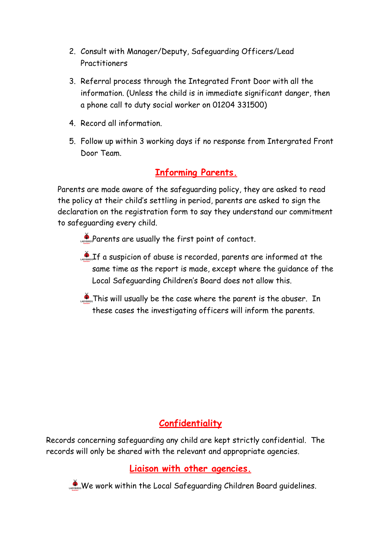- 2. Consult with Manager/Deputy, Safeguarding Officers/Lead Practitioners
- 3. Referral process through the Integrated Front Door with all the information. (Unless the child is in immediate significant danger, then a phone call to duty social worker on 01204 331500)
- 4. Record all information.
- 5. Follow up within 3 working days if no response from Intergrated Front Door Team.

# **Informing Parents.**

Parents are made aware of the safeguarding policy, they are asked to read the policy at their child's settling in period, parents are asked to sign the declaration on the registration form to say they understand our commitment to safeguarding every child.

**Parents are usually the first point of contact.** 

- LADREF A SUSPICION of abuse is recorded, parents are informed at the same time as the report is made, except where the guidance of the Local Safeguarding Children's Board does not allow this.
- $\mathcal{L}_{\text{obs}}$  This will usually be the case where the parent is the abuser. In these cases the investigating officers will inform the parents.

# **Confidentiality**

Records concerning safeguarding any child are kept strictly confidential. The records will only be shared with the relevant and appropriate agencies.

# **Liaison with other agencies.**

We work within the Local Safeguarding Children Board guidelines.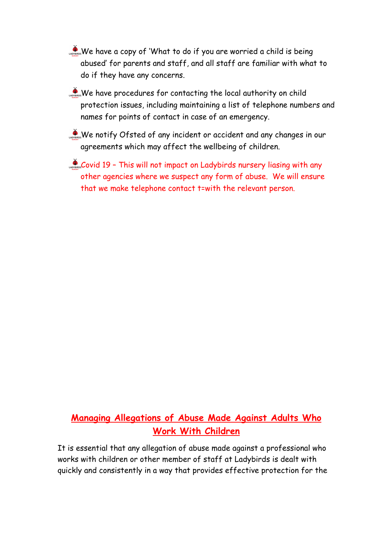- We have a copy of 'What to do if you are worried a child is being abused' for parents and staff, and all staff are familiar with what to do if they have any concerns.
- We have procedures for contacting the local authority on child protection issues, including maintaining a list of telephone numbers and names for points of contact in case of an emergency.
- We notify Ofsted of any incident or accident and any changes in our agreements which may affect the wellbeing of children.
- $\frac{1}{\sqrt{2}}$  Covid 19 This will not impact on Ladybirds nursery liasing with any other agencies where we suspect any form of abuse. We will ensure that we make telephone contact t=with the relevant person.

# **Managing Allegations of Abuse Made Against Adults Who Work With Children**

It is essential that any allegation of abuse made against a professional who works with children or other member of staff at Ladybirds is dealt with quickly and consistently in a way that provides effective protection for the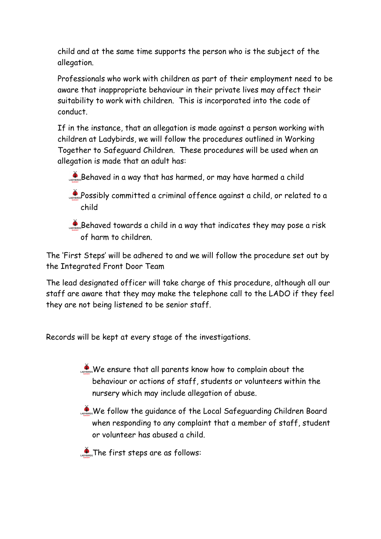child and at the same time supports the person who is the subject of the allegation.

Professionals who work with children as part of their employment need to be aware that inappropriate behaviour in their private lives may affect their suitability to work with children. This is incorporated into the code of conduct.

If in the instance, that an allegation is made against a person working with children at Ladybirds, we will follow the procedures outlined in Working Together to Safeguard Children. These procedures will be used when an allegation is made that an adult has:

- Behaved in a way that has harmed, or may have harmed a child
- Possibly committed a criminal offence against a child, or related to a child
- Behaved towards a child in a way that indicates they may pose a risk of harm to children.

The 'First Steps' will be adhered to and we will follow the procedure set out by the Integrated Front Door Team

The lead designated officer will take charge of this procedure, although all our staff are aware that they may make the telephone call to the LADO if they feel they are not being listened to be senior staff.

Records will be kept at every stage of the investigations.

- We ensure that all parents know how to complain about the behaviour or actions of staff, students or volunteers within the nursery which may include allegation of abuse.
- We follow the guidance of the Local Safeguarding Children Board when responding to any complaint that a member of staff, student or volunteer has abused a child.

 $\sum_{\text{cavens}}$  The first steps are as follows: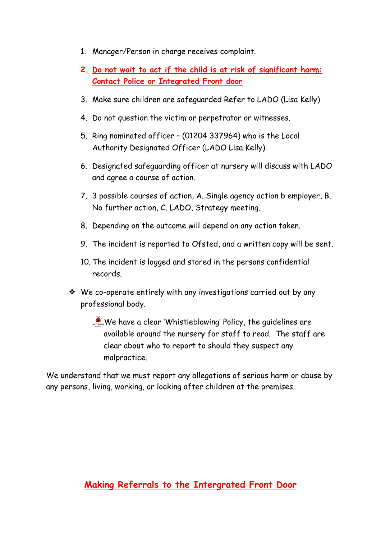- 1. Manager/Person in charge receives complaint.
- **2. Do not wait to act if the child is at risk of significant harm: Contact Police or Integrated Front door**
- 3. Make sure children are safeguarded Refer to LADO (Lisa Kelly)
- 4. Do not question the victim or perpetrator or witnesses.
- 5. Ring nominated officer (01204 337964) who is the Local Authority Designated Officer (LADO Lisa Kelly)
- 6. Designated safeguarding officer at nursery will discuss with LADO and agree a course of action.
- 7. 3 possible courses of action, A. Single agency action b employer, B. No further action, C. LADO, Strategy meeting.
- 8. Depending on the outcome will depend on any action taken.
- 9. The incident is reported to Ofsted, and a written copy will be sent.
- 10. The incident is logged and stored in the persons confidential records.
- ❖ We co-operate entirely with any investigations carried out by any professional body.
	- We have a clear 'Whistleblowing' Policy, the guidelines are available around the nursery for staff to read. The staff are clear about who to report to should they suspect any malpractice.

We understand that we must report any allegations of serious harm or abuse by any persons, living, working, or looking after children at the premises.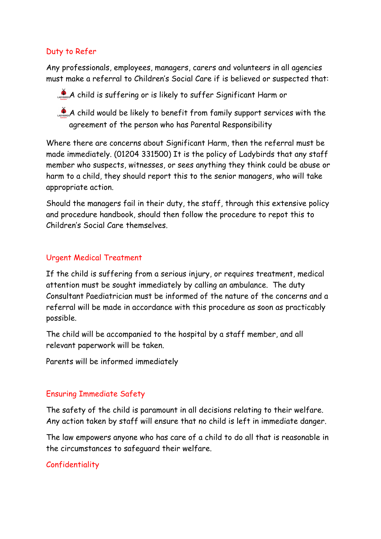#### Duty to Refer

Any professionals, employees, managers, carers and volunteers in all agencies must make a referral to Children's Social Care if is believed or suspected that:

A child is suffering or is likely to suffer Significant Harm or

A child would be likely to benefit from family support services with the agreement of the person who has Parental Responsibility

Where there are concerns about Significant Harm, then the referral must be made immediately. (01204 331500) It is the policy of Ladybirds that any staff member who suspects, witnesses, or sees anything they think could be abuse or harm to a child, they should report this to the senior managers, who will take appropriate action.

Should the managers fail in their duty, the staff, through this extensive policy and procedure handbook, should then follow the procedure to repot this to Children's Social Care themselves.

#### Urgent Medical Treatment

If the child is suffering from a serious injury, or requires treatment, medical attention must be sought immediately by calling an ambulance. The duty Consultant Paediatrician must be informed of the nature of the concerns and a referral will be made in accordance with this procedure as soon as practicably possible.

The child will be accompanied to the hospital by a staff member, and all relevant paperwork will be taken.

Parents will be informed immediately

### Ensuring Immediate Safety

The safety of the child is paramount in all decisions relating to their welfare. Any action taken by staff will ensure that no child is left in immediate danger.

The law empowers anyone who has care of a child to do all that is reasonable in the circumstances to safeguard their welfare.

### **Confidentiality**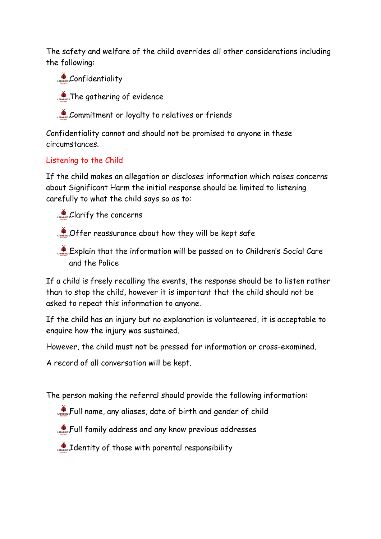The safety and welfare of the child overrides all other considerations including the following:

**Confidentiality** 

**The gathering of evidence** 

Commitment or loyalty to relatives or friends

Confidentiality cannot and should not be promised to anyone in these circumstances.

# Listening to the Child

If the child makes an allegation or discloses information which raises concerns about Significant Harm the initial response should be limited to listening carefully to what the child says so as to:

 $\sum_{\text{Lavysk}}$ Clarify the concerns

 $\mathcal{L}_{\text{Lovens}}$ Offer reassurance about how they will be kept safe

Explain that the information will be passed on to Children's Social Care and the Police

If a child is freely recalling the events, the response should be to listen rather than to stop the child, however it is important that the child should not be asked to repeat this information to anyone.

If the child has an injury but no explanation is volunteered, it is acceptable to enquire how the injury was sustained.

However, the child must not be pressed for information or cross-examined.

A record of all conversation will be kept.

The person making the referral should provide the following information:

- Full name, any aliases, date of birth and gender of child
- **Reparts Full family address and any know previous addresses**
- $\mathcal{L}_{\text{nonres}}$  Identity of those with parental responsibility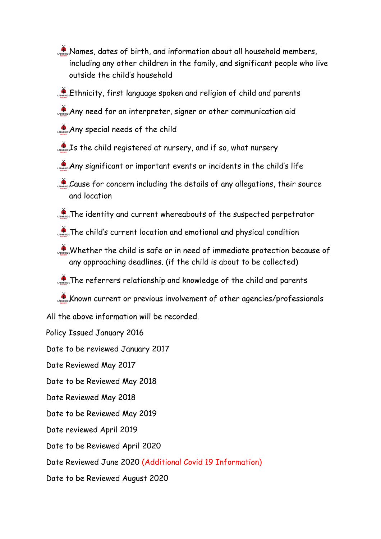- **Names, dates of birth, and information about all household members,** including any other children in the family, and significant people who live outside the child's household
- Ethnicity, first language spoken and religion of child and parents
- Any need for an interpreter, signer or other communication aid
- Any special needs of the child
- $\mathcal{L}_{\text{obs}}$  Is the child registered at nursery, and if so, what nursery
- Any significant or important events or incidents in the child's life
- Cause for concern including the details of any allegations, their source and location
- $\bullet$  The identity and current whereabouts of the suspected perpetrator
- The child's current location and emotional and physical condition
- Whether the child is safe or in need of immediate protection because of any approaching deadlines. (if the child is about to be collected)
- The referrers relationship and knowledge of the child and parents
- Known current or previous involvement of other agencies/professionals

All the above information will be recorded.

Policy Issued January 2016

Date to be reviewed January 2017

Date Reviewed May 2017

Date to be Reviewed May 2018

- Date Reviewed May 2018
- Date to be Reviewed May 2019
- Date reviewed April 2019
- Date to be Reviewed April 2020
- Date Reviewed June 2020 (Additional Covid 19 Information)
- Date to be Reviewed August 2020